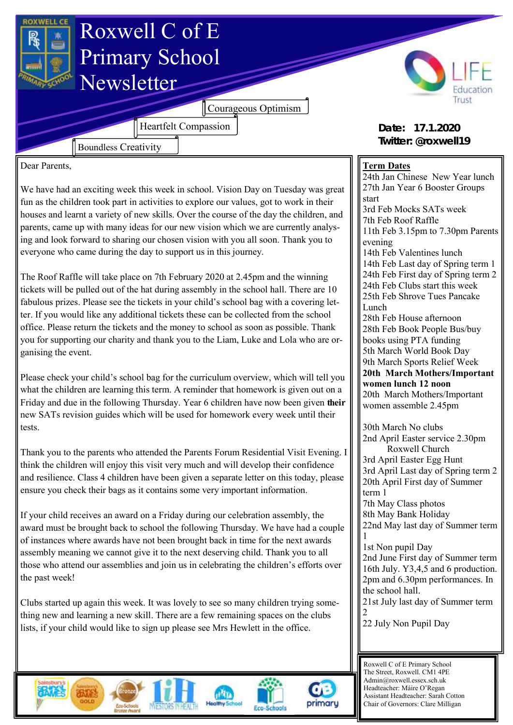

Dear Parents,

We have had an exciting week this week in school. Vision Day on Tuesday was great fun as the children took part in activities to explore our values, got to work in their houses and learnt a variety of new skills. Over the course of the day the children, and parents, came up with many ideas for our new vision which we are currently analysing and look forward to sharing our chosen vision with you all soon. Thank you to everyone who came during the day to support us in this journey.

The Roof Raffle will take place on 7th February 2020 at 2.45pm and the winning tickets will be pulled out of the hat during assembly in the school hall. There are 10 fabulous prizes. Please see the tickets in your child's school bag with a covering letter. If you would like any additional tickets these can be collected from the school office. Please return the tickets and the money to school as soon as possible. Thank you for supporting our charity and thank you to the Liam, Luke and Lola who are organising the event.

Please check your child's school bag for the curriculum overview, which will tell you what the children are learning this term. A reminder that homework is given out on a Friday and due in the following Thursday. Year 6 children have now been given **their**  new SATs revision guides which will be used for homework every week until their tests.

Thank you to the parents who attended the Parents Forum Residential Visit Evening. I think the children will enjoy this visit very much and will develop their confidence and resilience. Class 4 children have been given a separate letter on this today, please ensure you check their bags as it contains some very important information.

If your child receives an award on a Friday during our celebration assembly, the award must be brought back to school the following Thursday. We have had a couple of instances where awards have not been brought back in time for the next awards assembly meaning we cannot give it to the next deserving child. Thank you to all those who attend our assemblies and join us in celebrating the children's efforts over the past week!

Clubs started up again this week. It was lovely to see so many children trying something new and learning a new skill. There are a few remaining spaces on the clubs lists, if your child would like to sign up please see Mrs Hewlett in the office.

## **Term Dates**

24th Jan Chinese New Year lunch 27th Jan Year 6 Booster Groups start 3rd Feb Mocks SATs week 7th Feb Roof Raffle 11th Feb 3.15pm to 7.30pm Parents evening 14th Feb Valentines lunch 14th Feb Last day of Spring term 1 24th Feb First day of Spring term 2 24th Feb Clubs start this week 25th Feb Shrove Tues Pancake Lunch 28th Feb House afternoon 28th Feb Book People Bus/buy books using PTA funding 5th March World Book Day 9th March Sports Relief Week **20th March Mothers/Important women lunch 12 noon** 20th March Mothers/Important women assemble 2.45pm 30th March No clubs 2nd April Easter service 2.30pm Roxwell Church 3rd April Easter Egg Hunt 3rd April Last day of Spring term 2 20th April First day of Summer term 1 7th May Class photos 8th May Bank Holiday 22nd May last day of Summer term 1 1st Non pupil Day 2nd June First day of Summer term 16th July. Y3,4,5 and 6 production. 2pm and 6.30pm performances. In the school hall. 21st July last day of Summer term 2 22 July Non Pupil Day